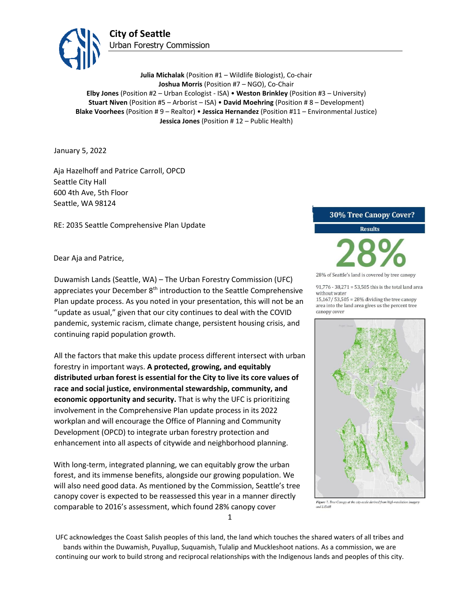

**Julia Michalak** (Position #1 – Wildlife Biologist), Co-chair **Joshua Morris** (Position #7 – NGO), Co-Chair **Elby Jones** (Position #2 – Urban Ecologist - ISA) • **Weston Brinkley** (Position #3 – University) **Stuart Niven** (Position #5 – Arborist – ISA) • **David Moehring** (Position # 8 – Development) **Blake Voorhees** (Position # 9 – Realtor) • **Jessica Hernandez** (Position #11 – Environmental Justice) **Jessica Jones** (Position # 12 – Public Health)

January 5, 2022

Aja Hazelhoff and Patrice Carroll, OPCD Seattle City Hall 600 4th Ave, 5th Floor Seattle, WA 98124

RE: 2035 Seattle Comprehensive Plan Update

### Dear Aja and Patrice,

Duwamish Lands (Seattle, WA) – The Urban Forestry Commission (UFC) appreciates your December 8<sup>th</sup> introduction to the Seattle Comprehensive Plan update process. As you noted in your presentation, this will not be an "update as usual," given that our city continues to deal with the COVID pandemic, systemic racism, climate change, persistent housing crisis, and continuing rapid population growth.

All the factors that make this update process different intersect with urban forestry in important ways. **A protected, growing, and equitably distributed urban forest is essential for the City to live its core values of race and social justice, environmental stewardship, community, and economic opportunity and security.** That is why the UFC is prioritizing involvement in the Comprehensive Plan update process in its 2022 workplan and will encourage the Office of Planning and Community Development (OPCD) to integrate urban forestry protection and enhancement into all aspects of citywide and neighborhood planning.

With long-term, integrated planning, we can equitably grow the urban forest, and its immense benefits, alongside our growing population. We will also need good data. As mentioned by the Commission, Seattle's tree canopy cover is expected to be reassessed this year in a manner directly comparable to 2016's assessment, which found 28% canopy cover

#### 30% Tree Canopy Cover?

Results

28% of Seattle's land is covered by tree canopy

91,776 - 38,271 = 53,505 this is the total land area without water

15,167/53,505 = 28% dividing the tree canopy area into the land area gives us the percent tree canopy cover



Figure 7. Tree Canopy at the city-scale derived from high-resolution imager. and LiDAR

1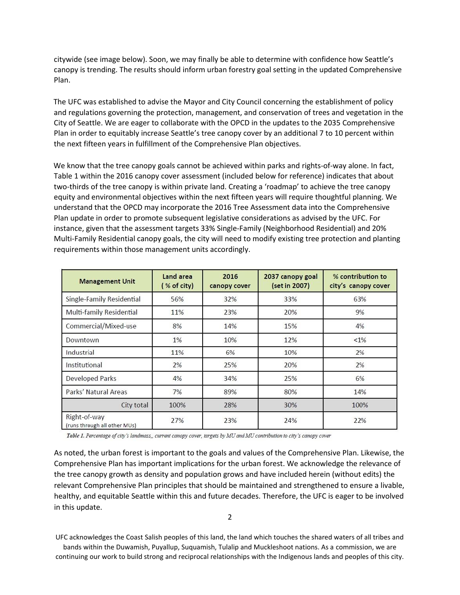citywide (see image below). Soon, we may finally be able to determine with confidence how Seattle's canopy is trending. The results should inform urban forestry goal setting in the updated Comprehensive Plan.

The UFC was established to advise the Mayor and City Council concerning the establishment of policy and regulations governing the protection, management, and conservation of trees and vegetation in the City of Seattle. We are eager to collaborate with the OPCD in the updates to the 2035 Comprehensive Plan in order to equitably increase Seattle's tree canopy cover by an additional 7 to 10 percent within the next fifteen years in fulfillment of the Comprehensive Plan objectives.

We know that the tree canopy goals cannot be achieved within parks and rights-of-way alone. In fact, Table 1 within the 2016 canopy cover assessment (included below for reference) indicates that about two-thirds of the tree canopy is within private land. Creating a 'roadmap' to achieve the tree canopy equity and environmental objectives within the next fifteen years will require thoughtful planning. We understand that the OPCD may incorporate the 2016 Tree Assessment data into the Comprehensive Plan update in order to promote subsequent legislative considerations as advised by the UFC. For instance, given that the assessment targets 33% Single-Family (Neighborhood Residential) and 20% Multi-Family Residential canopy goals, the city will need to modify existing tree protection and planting requirements within those management units accordingly.

| <b>Management Unit</b>                       | Land area<br>(% of city) | 2016<br>canopy cover | 2037 canopy goal<br>(set in 2007) | % contribution to<br>city's canopy cover |
|----------------------------------------------|--------------------------|----------------------|-----------------------------------|------------------------------------------|
| Single-Family Residential                    | 56%                      | 32%                  | 33%                               | 63%                                      |
| Multi-family Residential                     | 11%                      | 23%                  | 20%                               | 9%                                       |
| Commercial/Mixed-use                         | 8%                       | 14%                  | 15%                               | 4%                                       |
| Downtown                                     | 1%                       | 10%                  | 12%                               | $< 1\%$                                  |
| Industrial                                   | 11%                      | 6%                   | 10%                               | 2%                                       |
| Institutional                                | 2%                       | 25%                  | 20%                               | 2%                                       |
| Developed Parks                              | 4%                       | 34%                  | 25%                               | 6%                                       |
| Parks' Natural Areas                         | 7%                       | 89%                  | 80%                               | 14%                                      |
| City total                                   | 100%                     | 28%                  | 30%                               | 100%                                     |
| Right-of-way<br>(runs through all other MUs) | 27%                      | 23%                  | 24%                               | 22%                                      |

Table 1. Percentage of city's landmass,, current canopy cover, targets by MU and MU contribution to city's canopy cover

As noted, the urban forest is important to the goals and values of the Comprehensive Plan. Likewise, the Comprehensive Plan has important implications for the urban forest. We acknowledge the relevance of the tree canopy growth as density and population grows and have included herein (without edits) the relevant Comprehensive Plan principles that should be maintained and strengthened to ensure a livable, healthy, and equitable Seattle within this and future decades. Therefore, the UFC is eager to be involved in this update.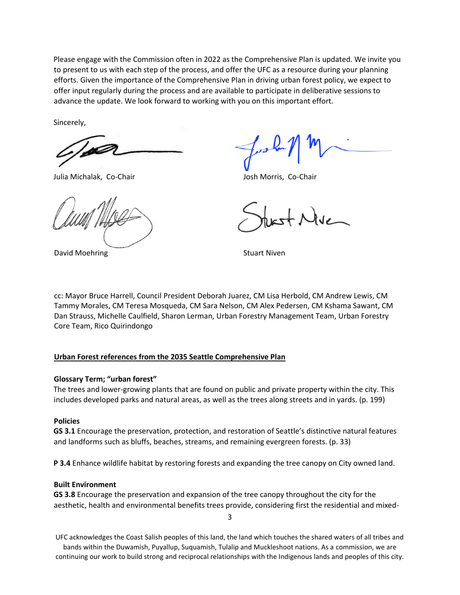Please engage with the Commission often in 2022 as the Comprehensive Plan is updated. We invite you to present to us with each step of the process, and offer the UFC as a resource during your planning efforts. Given the importance of the Comprehensive Plan in driving urban forest policy, we expect to offer input regularly during the process and are available to participate in deliberative sessions to advance the update. We look forward to working with you on this important effort.

Sincerely,

Julia Michalak, Co-Chair **Julia Michalak, Co-Chair** Josh Morris, Co-Chair

David Moehring **Stuart Niven** Stuart Niven

cc: Mayor Bruce Harrell, Council President Deborah Juarez, CM Lisa Herbold, CM Andrew Lewis, CM Tammy Morales, CM Teresa Mosqueda, CM Sara Nelson, CM Alex Pedersen, CM Kshama Sawant, CM Dan Strauss, Michelle Caulfield, Sharon Lerman, Urban Forestry Management Team, Urban Forestry Core Team, Rico Quirindongo

## **Urban Forest references from the 2035 Seattle Comprehensive Plan**

## **Glossary Term; "urban forest"**

The trees and lower-growing plants that are found on public and private property within the city. This includes developed parks and natural areas, as well as the trees along streets and in yards. (p. 199)

# **Policies**

**GS 3.1** Encourage the preservation, protection, and restoration of Seattle's distinctive natural features and landforms such as bluffs, beaches, streams, and remaining evergreen forests. (p. 33)

**P 3.4** Enhance wildlife habitat by restoring forests and expanding the tree canopy on City owned land.

### **Built Environment**

**GS 3.8** Encourage the preservation and expansion of the tree canopy throughout the city for the aesthetic, health and environmental benefits trees provide, considering first the residential and mixed-